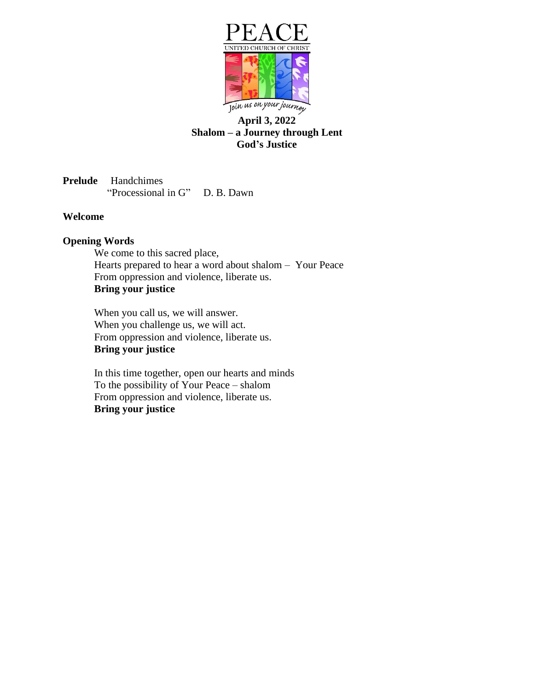

# **April 3, 2022 Shalom – a Journey through Lent God's Justice**

**Prelude** Handchimes "Processional in G" D. B. Dawn"

#### **Welcome**

## **Opening Words**

We come to this sacred place, Hearts prepared to hear a word about shalom – Your Peace From oppression and violence, liberate us. **Bring your justice**

When you call us, we will answer. When you challenge us, we will act. From oppression and violence, liberate us. **Bring your justice**

In this time together, open our hearts and minds To the possibility of Your Peace – shalom From oppression and violence, liberate us. **Bring your justice**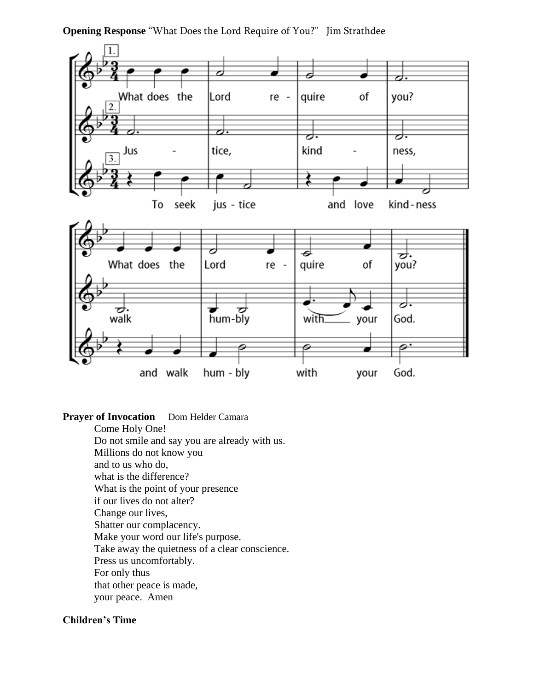**Opening Response** "What Does the Lord Require of You?" Jim Strathdee



### **Prayer of Invocation** Dom Helder Camara

Come Holy One! Do not smile and say you are already with us. Millions do not know you and to us who do, what is the difference? What is the point of your presence if our lives do not alter? Change our lives, Shatter our complacency. Make your word our life's purpose. Take away the quietness of a clear conscience. Press us uncomfortably. For only thus that other peace is made, your peace. Amen

# **Children's Time**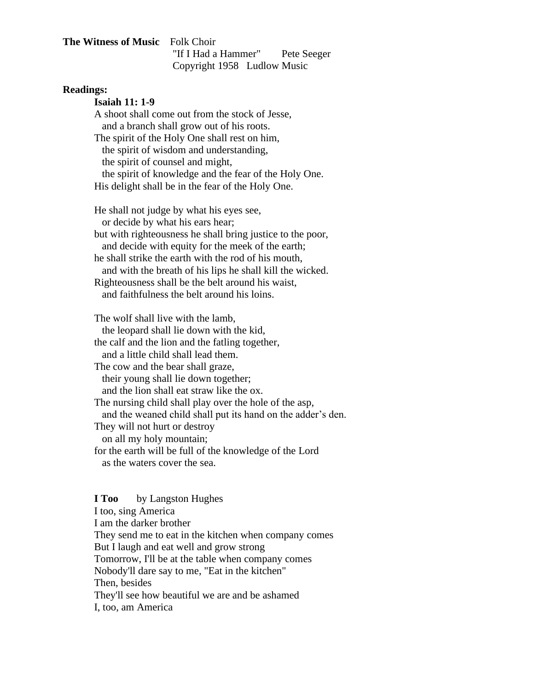### **The Witness of Music** Folk Choir "If I Had a Hammer" Pete Seeger Copyright 1958 Ludlow Music

#### **Readings:**

**Isaiah 11: 1-9**

A shoot shall come out from the stock of Jesse, and a branch shall grow out of his roots. The spirit of the Holy One shall rest on him, the spirit of wisdom and understanding, the spirit of counsel and might, the spirit of knowledge and the fear of the Holy One.

His delight shall be in the fear of the Holy One.

He shall not judge by what his eyes see, or decide by what his ears hear; but with righteousness he shall bring justice to the poor, and decide with equity for the meek of the earth; he shall strike the earth with the rod of his mouth, and with the breath of his lips he shall kill the wicked. Righteousness shall be the belt around his waist, and faithfulness the belt around his loins.

The wolf shall live with the lamb, the leopard shall lie down with the kid, the calf and the lion and the fatling together, and a little child shall lead them. The cow and the bear shall graze, their young shall lie down together; and the lion shall eat straw like the ox. The nursing child shall play over the hole of the asp, and the weaned child shall put its hand on the adder's den. They will not hurt or destroy on all my holy mountain; for the earth will be full of the knowledge of the Lord as the waters cover the sea.

**I Too** by Langston Hughes I too, sing America I am the darker brother They send me to eat in the kitchen when company comes But I laugh and eat well and grow strong Tomorrow, I'll be at the table when company comes Nobody'll dare say to me, "Eat in the kitchen" Then, besides They'll see how beautiful we are and be ashamed I, too, am America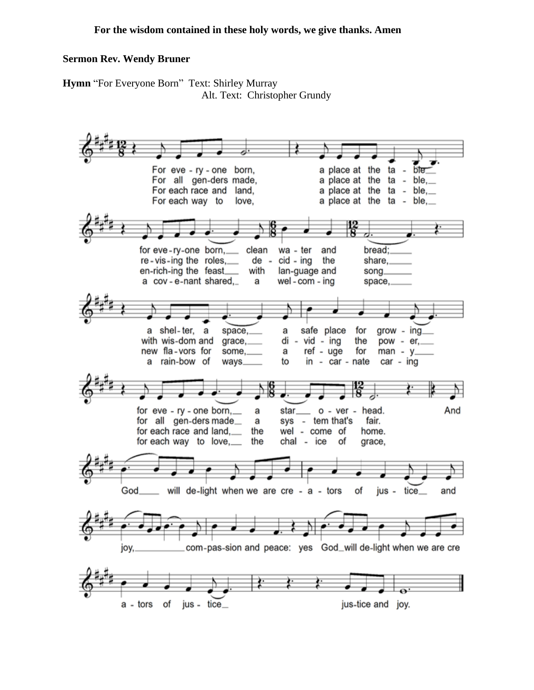### **Sermon Rev. Wendy Bruner**

**Hymn** "For Everyone Born" Text: Shirley Murray Alt. Text: Christopher Grundy